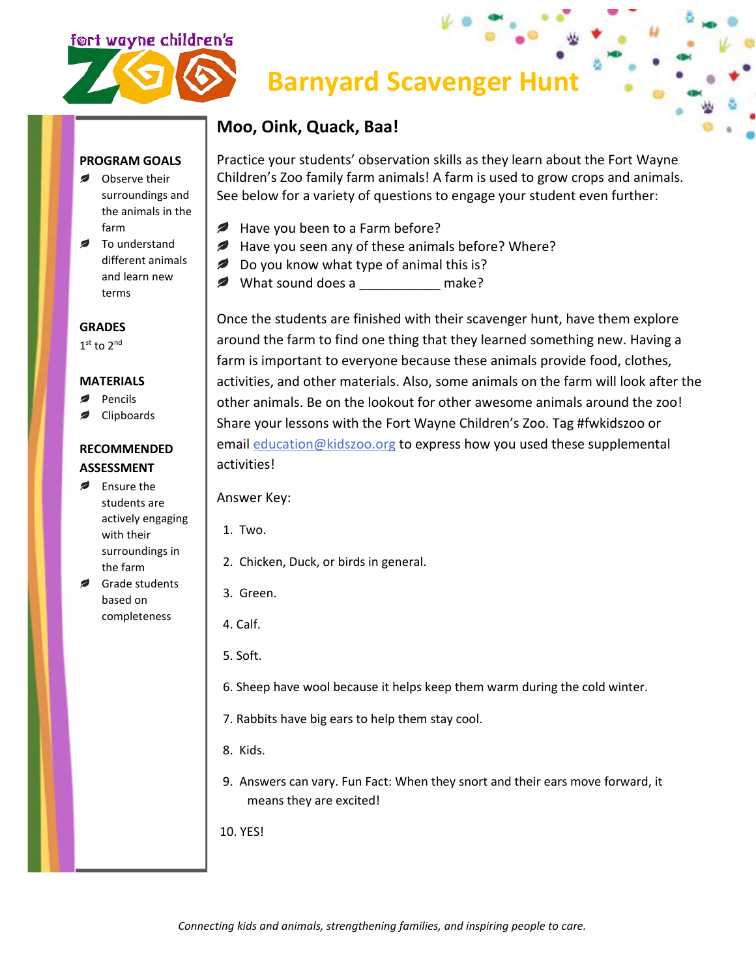

# **Barnyard Scavenger Hunt**

### **Moo, Oink, Quack, Baa!**

Practice your students' observation skills as they learn about the Fort Wayne Children's Zoo family farm animals! A farm is used to grow crops and animals. See below for a variety of questions to engage your student even further:

- ℯ Have you been to a Farm before?
- Have you seen any of these animals before? Where?
- *₽* Do you know what type of animal this is?
- **2** What sound does a make?

Once the students are finished with their scavenger hunt, have them explore around the farm to find one thing that they learned something new. Having a farm is important to everyone because these animals provide food, clothes, activities, and other materials. Also, some animals on the farm will look after the other animals. Be on the lookout for other awesome animals around the zoo! Share your lessons with the Fort Wayne Children's Zoo. Tag #fwkidszoo or email [education@kidszoo.org](mailto:education@kidszoo.org) to express how you used these supplemental activities!

Answer Key:

- 1. Two.
- 2. Chicken, Duck, or birds in general.
- 3. Green.
- 4. Calf.
- 5. Soft.
- 6. Sheep have wool because it helps keep them warm during the cold winter.
- 7. Rabbits have big ears to help them stay cool.
- 8. Kids.
- 9. Answers can vary. Fun Fact: When they snort and their ears move forward, it means they are excited!
- 10. YES!

## **PROGRAM GOALS**

- Observe their surroundings and the animals in the farm
- To understand different animals and learn new terms

#### **GRADES**

1st to 2nd

#### **MATERIALS**

- Pencils
- Clipboards

#### **RECOMMENDED ASSESSMENT**

- **Ensure the** students are actively engaging with their surroundings in the farm
- Grade students based on completeness